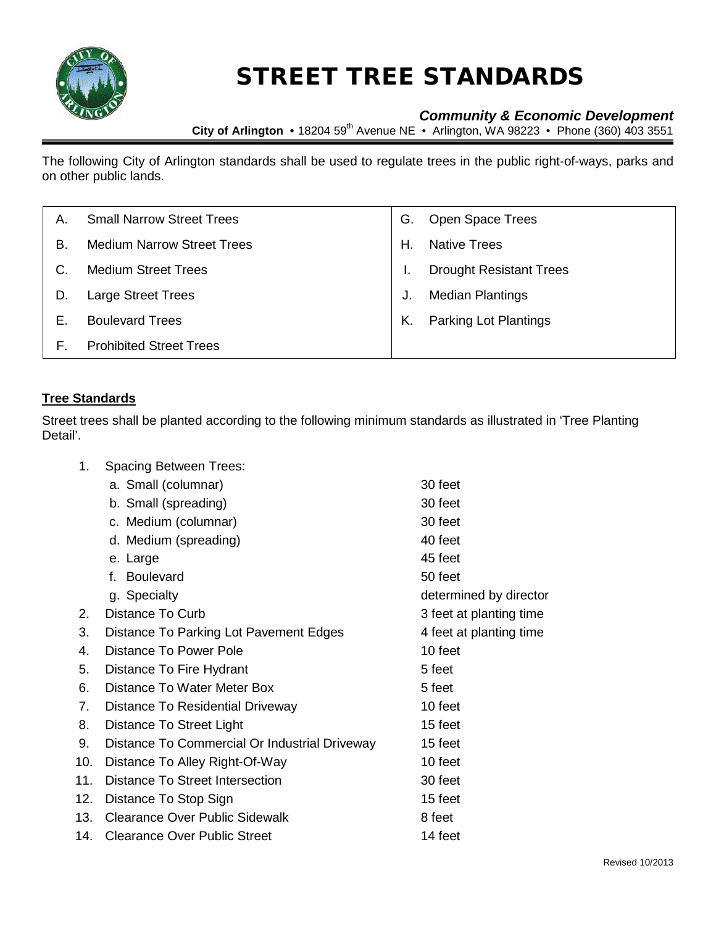

# STREET TREE STANDARDS

# *Community & Economic Development*

**City of Arlington •** 18204 59<sup>th</sup> Avenue NE • Arlington, WA 98223 • Phone (360) 403 3551

The following City of Arlington standards shall be used to regulate trees in the public right-of-ways, parks and on other public lands.

| Α. | <b>Small Narrow Street Trees</b>  | G. | Open Space Trees               |
|----|-----------------------------------|----|--------------------------------|
| В. | <b>Medium Narrow Street Trees</b> | Н. | <b>Native Trees</b>            |
| C. | <b>Medium Street Trees</b>        |    | <b>Drought Resistant Trees</b> |
| D. | <b>Large Street Trees</b>         | J. | <b>Median Plantings</b>        |
| Е. | <b>Boulevard Trees</b>            | K. | <b>Parking Lot Plantings</b>   |
|    | <b>Prohibited Street Trees</b>    |    |                                |

#### **Tree Standards**

Street trees shall be planted according to the following minimum standards as illustrated in 'Tree Planting Detail'.

| 1.  | <b>Spacing Between Trees:</b>                 |                         |
|-----|-----------------------------------------------|-------------------------|
|     | a. Small (columnar)                           | 30 feet                 |
|     | b. Small (spreading)                          | 30 feet                 |
|     | c. Medium (columnar)                          | 30 feet                 |
|     | d. Medium (spreading)                         | 40 feet                 |
|     | e. Large                                      | 45 feet                 |
|     | <b>Boulevard</b><br>f.                        | 50 feet                 |
|     | g. Specialty                                  | determined by director  |
| 2.  | Distance To Curb                              | 3 feet at planting time |
| 3.  | Distance To Parking Lot Pavement Edges        | 4 feet at planting time |
| 4.  | Distance To Power Pole                        | 10 feet                 |
| 5.  | Distance To Fire Hydrant                      | 5 feet                  |
| 6.  | Distance To Water Meter Box                   | 5 feet                  |
| 7.  | Distance To Residential Driveway              | 10 feet                 |
| 8.  | Distance To Street Light                      | 15 feet                 |
| 9.  | Distance To Commercial Or Industrial Driveway | 15 feet                 |
| 10. | Distance To Alley Right-Of-Way                | 10 feet                 |
| 11. | Distance To Street Intersection               | 30 feet                 |
| 12. | Distance To Stop Sign                         | 15 feet                 |
| 13. | <b>Clearance Over Public Sidewalk</b>         | 8 feet                  |
|     | 14. Clearance Over Public Street              | 14 feet                 |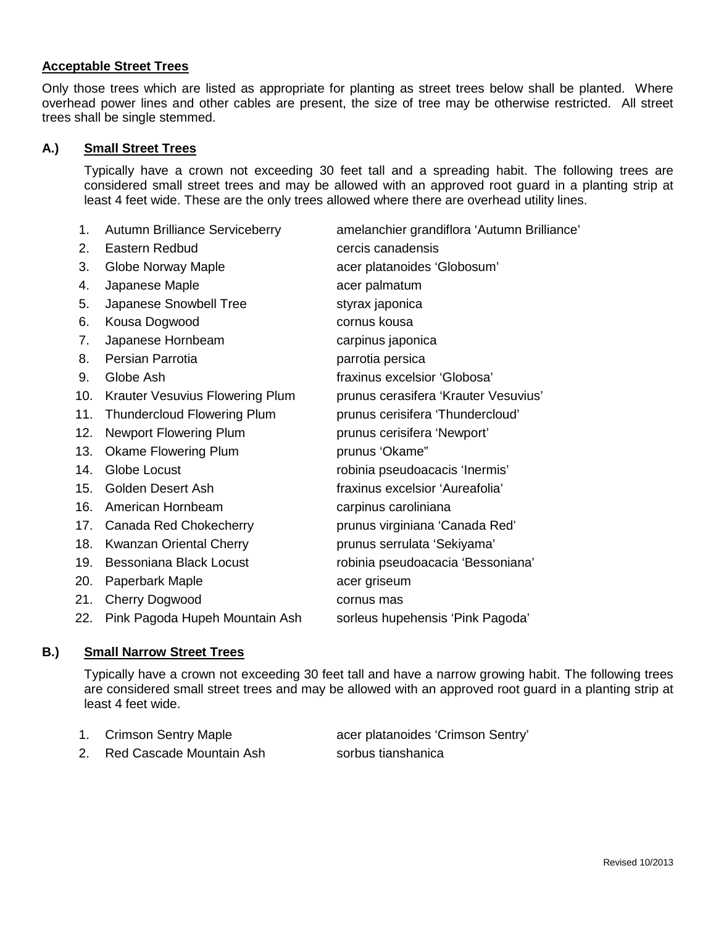#### **Acceptable Street Trees**

Only those trees which are listed as appropriate for planting as street trees below shall be planted. Where overhead power lines and other cables are present, the size of tree may be otherwise restricted. All street trees shall be single stemmed.

#### **A.) Small Street Trees**

Typically have a crown not exceeding 30 feet tall and a spreading habit. The following trees are considered small street trees and may be allowed with an approved root guard in a planting strip at least 4 feet wide. These are the only trees allowed where there are overhead utility lines.

| 1.  | Autumn Brilliance Serviceberry         | amelanchier grandiflora 'Autumn Brilliance' |
|-----|----------------------------------------|---------------------------------------------|
| 2.  | Eastern Redbud                         | cercis canadensis                           |
| 3.  | Globe Norway Maple                     | acer platanoides 'Globosum'                 |
| 4.  | Japanese Maple                         | acer palmatum                               |
| 5.  | Japanese Snowbell Tree                 | styrax japonica                             |
| 6.  | Kousa Dogwood                          | cornus kousa                                |
| 7.  | Japanese Hornbeam                      | carpinus japonica                           |
| 8.  | Persian Parrotia                       | parrotia persica                            |
| 9.  | Globe Ash                              | fraxinus excelsior 'Globosa'                |
| 10. | <b>Krauter Vesuvius Flowering Plum</b> | prunus cerasifera 'Krauter Vesuvius'        |
| 11. | <b>Thundercloud Flowering Plum</b>     | prunus cerisifera 'Thundercloud'            |
| 12. | <b>Newport Flowering Plum</b>          | prunus cerisifera 'Newport'                 |
| 13. | <b>Okame Flowering Plum</b>            | prunus 'Okame"                              |
| 14. | Globe Locust                           | robinia pseudoacacis 'Inermis'              |
| 15. | Golden Desert Ash                      | fraxinus excelsior 'Aureafolia'             |
| 16. | American Hornbeam                      | carpinus caroliniana                        |
| 17. | Canada Red Chokecherry                 | prunus virginiana 'Canada Red'              |
| 18. | Kwanzan Oriental Cherry                | prunus serrulata 'Sekiyama'                 |
| 19. | Bessoniana Black Locust                | robinia pseudoacacia 'Bessoniana'           |
| 20. | Paperbark Maple                        | acer griseum                                |
| 21. | Cherry Dogwood                         | cornus mas                                  |
| 22. | Pink Pagoda Hupeh Mountain Ash         | sorleus hupehensis 'Pink Pagoda'            |

#### **B.) Small Narrow Street Trees**

Typically have a crown not exceeding 30 feet tall and have a narrow growing habit. The following trees are considered small street trees and may be allowed with an approved root guard in a planting strip at least 4 feet wide.

| 1. Crimson Sentry Maple     | acer platanoides 'Crimson Sentry' |
|-----------------------------|-----------------------------------|
| 2. Red Cascade Mountain Ash | sorbus tianshanica                |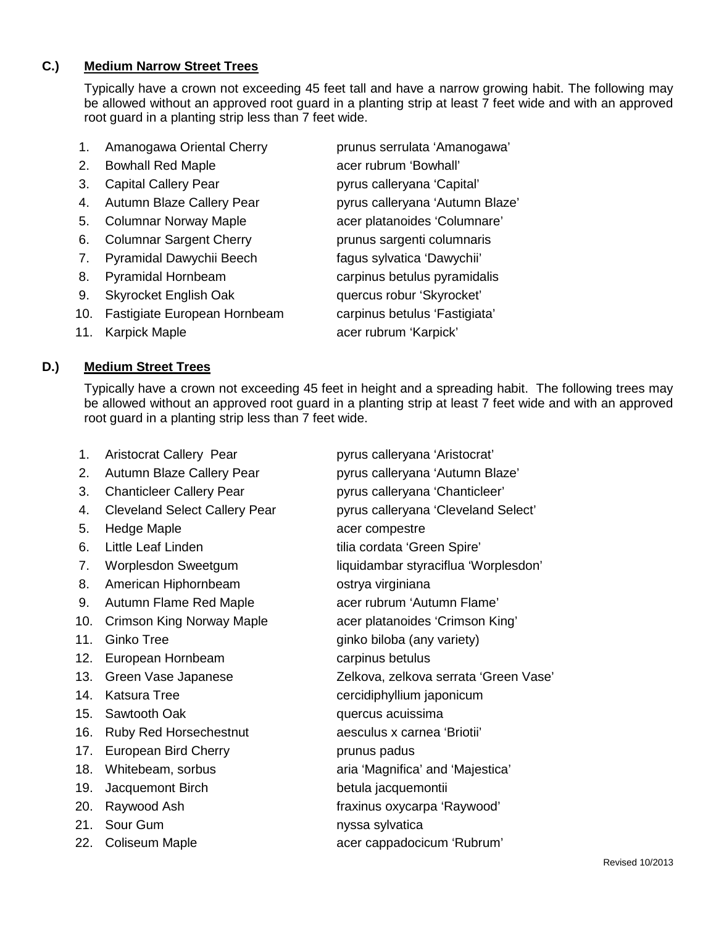## **C.) Medium Narrow Street Trees**

Typically have a crown not exceeding 45 feet tall and have a narrow growing habit. The following may be allowed without an approved root guard in a planting strip at least 7 feet wide and with an approved root guard in a planting strip less than 7 feet wide.

- 1. Amanogawa Oriental Cherry **prunus serrulata 'Amanogawa'**
- 2. Bowhall Red Maple **business acer** rubrum 'Bowhall'
- 3. Capital Callery Pear pyrus calleryana 'Capital'
- 4. Autumn Blaze Callery Pear pyrus calleryana 'Autumn Blaze'
- 
- 6. Columnar Sargent Cherry **prunus sargenti columnaris**
- 7. Pyramidal Dawychii Beech fagus sylvatica 'Dawychii'
- 
- 9. Skyrocket English Oak quercus robur 'Skyrocket'
- 10. Fastigiate European Hornbeam carpinus betulus 'Fastigiata'
- -
- 
- 5. Columnar Norway Maple acer platanoides 'Columnare'
	- -
- 8. Pyramidal Hornbeam carpinus betulus pyramidalis
	-
	-
- 11. Karpick Maple **acer** rubrum 'Karpick'

#### **D.) Medium Street Trees**

Typically have a crown not exceeding 45 feet in height and a spreading habit. The following trees may be allowed without an approved root guard in a planting strip at least 7 feet wide and with an approved root guard in a planting strip less than 7 feet wide.

- 
- 
- 
- 
- 5. Hedge Maple **acer** compestre
- 
- 
- 8. American Hiphornbeam **bigget of the State Career** ostrya virginiana
- 9. Autumn Flame Red Maple **acer rubrum 'Autumn Flame'**
- 10. Crimson King Norway Maple acer platanoides 'Crimson King'
- 
- 12. European Hornbeam carpinus betulus
- 
- 
- 
- 16. Ruby Red Horsechestnut aesculus x carnea 'Briotii'
- 17. European Bird Cherry **prunus padus**
- 
- 19. Jacquemont Birch betula jacquemontii
- 
- 21. Sour Gum and the state of the sylvatical property is a sylvatical property of the sylvatic sylvatic sylvatic sylvatic sylvatic sylvatic sylvatic sylvatic sylvatic sylvatic sylvatic sylvatic sylvatic sylvatic sylvatic s
- 22. Coliseum Maple **acer cappadocicum 'Rubrum'**
- 1. Aristocrat Callery Pear **pyrus calleryana 'Aristocrat'**
- 2. Autumn Blaze Callery Pear pyrus calleryana 'Autumn Blaze'
- 3. Chanticleer Callery Pear pyrus calleryana 'Chanticleer'
- 4. Cleveland Select Callery Pear pyrus calleryana 'Cleveland Select'
	-
- 6. Little Leaf Linden tilia cordata 'Green Spire'
- 7. Worplesdon Sweetgum liquidambar styraciflua 'Worplesdon'
	-
	-
	-
- 11. Ginko Tree **ginko biloba** (any variety)
	-
- 13. Green Vase Japanese Zelkova, zelkova serrata 'Green Vase'
- 14. Katsura Tree cercidiphyllium japonicum
- 15. Sawtooth Oak **quercus** acuissima
	-
	-
- 18. Whitebeam, sorbus aria 'Magnifica' and 'Majestica'
	-
- 20. Raywood Ash **Fraxinus oxycarpa 'Raywood'**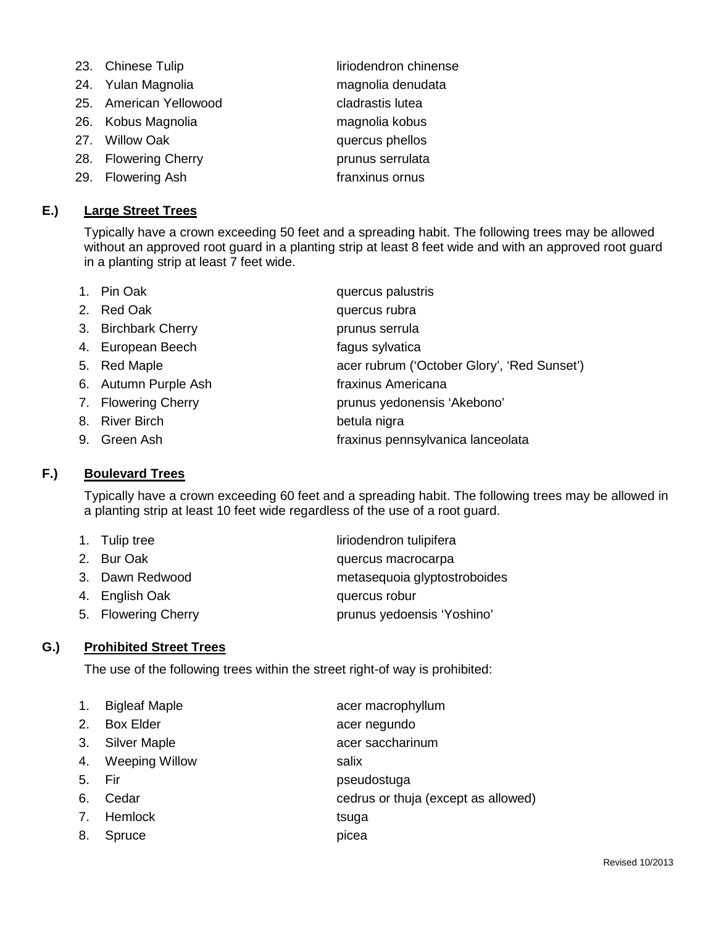| 23. Chinese Tulip      | liriodendron chinense |
|------------------------|-----------------------|
| 24. Yulan Magnolia     | magnolia denudata     |
| 25. American Yellowood | cladrastis lutea      |

- 26. Kobus Magnolia magnolia kobus
- 27. Willow Oak quercus phellos
- 28. Flowering Cherry **Property** prunus serrulata
- 29. Flowering Ash **franxinus** ornus

#### **E.) Large Street Trees**

Typically have a crown exceeding 50 feet and a spreading habit. The following trees may be allowed without an approved root guard in a planting strip at least 8 feet wide and with an approved root guard in a planting strip at least 7 feet wide.

| 1. Pin Oak           | quercus palustris                           |
|----------------------|---------------------------------------------|
| 2. Red Oak           | quercus rubra                               |
| 3. Birchbark Cherry  | prunus serrula                              |
| 4. European Beech    | fagus sylvatica                             |
| 5. Red Maple         | acer rubrum ('October Glory', 'Red Sunset') |
| 6. Autumn Purple Ash | fraxinus Americana                          |
| 7. Flowering Cherry  | prunus yedonensis 'Akebono'                 |
| 8. River Birch       | betula nigra                                |
| 9. Green Ash         | fraxinus pennsylvanica lanceolata           |
|                      |                                             |

## **F.) Boulevard Trees**

Typically have a crown exceeding 60 feet and a spreading habit. The following trees may be allowed in a planting strip at least 10 feet wide regardless of the use of a root guard.

| 1. Tulip tree       | liriodendron tulipifera      |
|---------------------|------------------------------|
| 2. Bur Oak          | quercus macrocarpa           |
| 3. Dawn Redwood     | metasequoia glyptostroboides |
| 4. English Oak      | quercus robur                |
| 5. Flowering Cherry | prunus yedoensis 'Yoshino'   |

#### **G.) Prohibited Street Trees**

The use of the following trees within the street right-of way is prohibited:

| 1.             | <b>Bigleaf Maple</b>  | acer macrophyllum                   |
|----------------|-----------------------|-------------------------------------|
| 2.             | <b>Box Elder</b>      | acer negundo                        |
| 3.             | <b>Silver Maple</b>   | acer saccharinum                    |
| 4.             | <b>Weeping Willow</b> | salix                               |
| 5.             | Fir                   | pseudostuga                         |
| 6.             | Cedar                 | cedrus or thuja (except as allowed) |
| 7 <sub>1</sub> | Hemlock               | tsuga                               |
| 8.             | Spruce                | picea                               |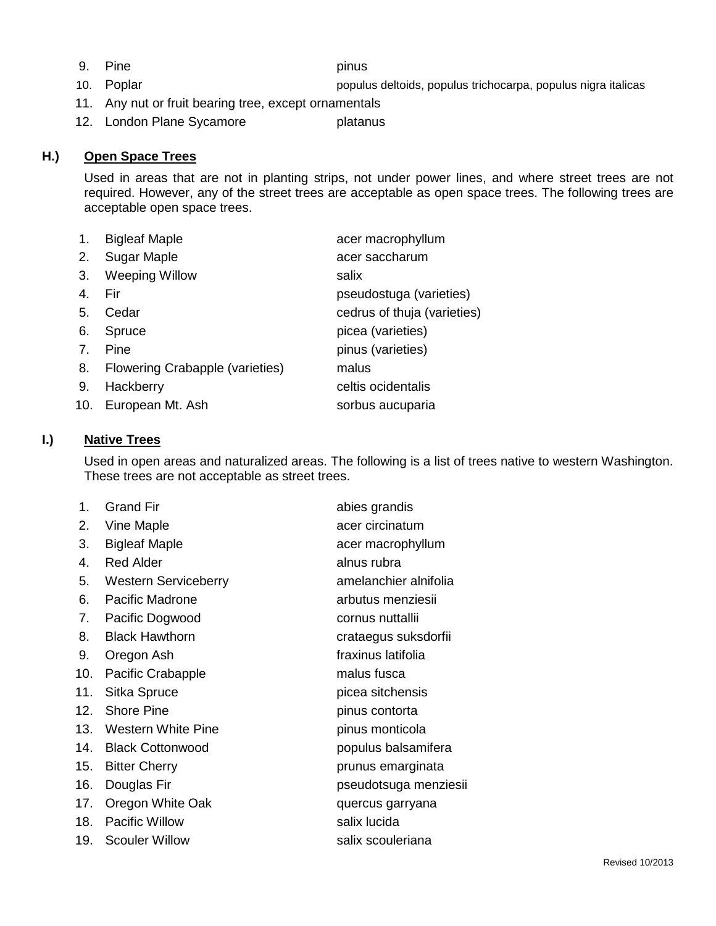9. Pine pinus

- 10. Poplar populus deltoids, populus trichocarpa, populus nigra italicas
- 11. Any nut or fruit bearing tree, except ornamentals
- 12. London Plane Sycamore **platanus**

## **H.) Open Space Trees**

Used in areas that are not in planting strips, not under power lines, and where street trees are not required. However, any of the street trees are acceptable as open space trees. The following trees are acceptable open space trees.

| 1.  | <b>Bigleaf Maple</b>            | acer macrophyllum           |
|-----|---------------------------------|-----------------------------|
| 2.  | Sugar Maple                     | acer saccharum              |
| 3.  | <b>Weeping Willow</b>           | salix                       |
| 4.  | Fir                             | pseudostuga (varieties)     |
| 5.  | Cedar                           | cedrus of thuja (varieties) |
| 6.  | Spruce                          | picea (varieties)           |
| 7.  | Pine                            | pinus (varieties)           |
| 8.  | Flowering Crabapple (varieties) | malus                       |
| 9.  | Hackberry                       | celtis ocidentalis          |
| 10. | European Mt. Ash                | sorbus aucuparia            |

#### **I.) Native Trees**

Used in open areas and naturalized areas. The following is a list of trees native to western Washington. These trees are not acceptable as street trees.

| 1.  | <b>Grand Fir</b>            | abies grandis         |
|-----|-----------------------------|-----------------------|
| 2.  | Vine Maple                  | acer circinatum       |
| 3.  | <b>Bigleaf Maple</b>        | acer macrophyllum     |
| 4.  | <b>Red Alder</b>            | alnus rubra           |
| 5.  | <b>Western Serviceberry</b> | amelanchier alnifolia |
| 6.  | Pacific Madrone             | arbutus menziesii     |
| 7.  | Pacific Dogwood             | cornus nuttallii      |
| 8.  | <b>Black Hawthorn</b>       | crataegus suksdorfii  |
| 9.  | Oregon Ash                  | fraxinus latifolia    |
| 10. | Pacific Crabapple           | malus fusca           |
| 11. | Sitka Spruce                | picea sitchensis      |
| 12. | <b>Shore Pine</b>           | pinus contorta        |
| 13. | <b>Western White Pine</b>   | pinus monticola       |
| 14. | <b>Black Cottonwood</b>     | populus balsamifera   |
| 15. | <b>Bitter Cherry</b>        | prunus emarginata     |
| 16. | Douglas Fir                 | pseudotsuga menziesii |
| 17. | Oregon White Oak            | quercus garryana      |
| 18. | <b>Pacific Willow</b>       | salix lucida          |
| 19. | <b>Scouler Willow</b>       | salix scouleriana     |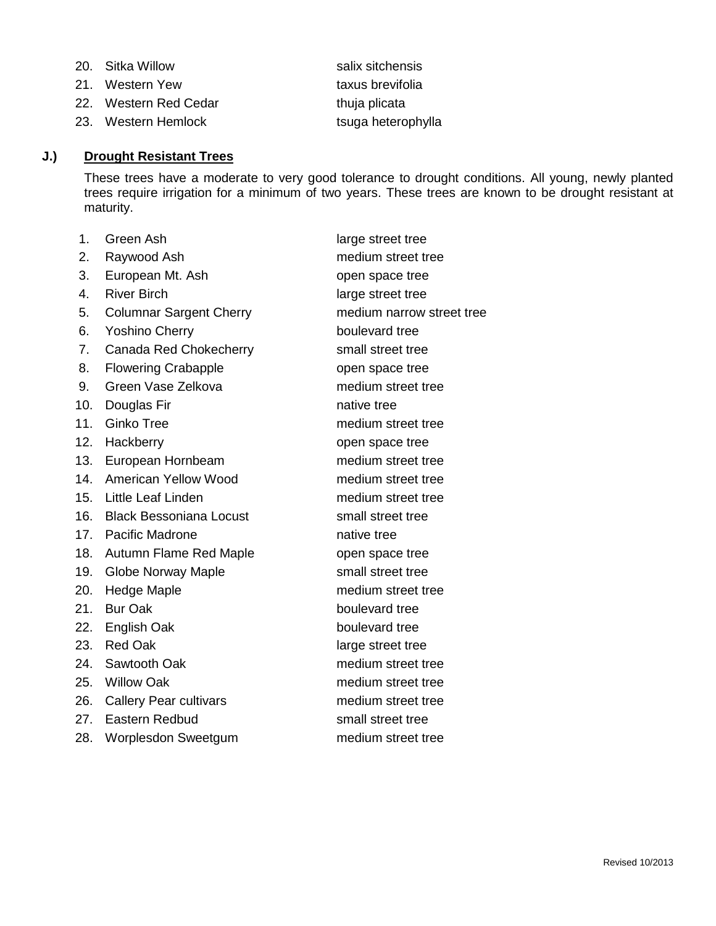| 20. Sitka Willow      | salix sitchensis   |
|-----------------------|--------------------|
| 21. Western Yew       | taxus brevifolia   |
| 22. Western Red Cedar | thuja plicata      |
| 23. Western Hemlock   | tsuga heterophylla |

## **J.) Drought Resistant Trees**

These trees have a moderate to very good tolerance to drought conditions. All young, newly planted trees require irrigation for a minimum of two years. These trees are known to be drought resistant at maturity.

| 1.  | Green Ash                      | large street tree         |
|-----|--------------------------------|---------------------------|
| 2.  | Raywood Ash                    | medium street tree        |
| 3.  | European Mt. Ash               | open space tree           |
| 4.  | <b>River Birch</b>             | large street tree         |
| 5.  | <b>Columnar Sargent Cherry</b> | medium narrow street tree |
| 6.  | <b>Yoshino Cherry</b>          | boulevard tree            |
| 7.  | Canada Red Chokecherry         | small street tree         |
| 8.  | <b>Flowering Crabapple</b>     | open space tree           |
| 9.  | Green Vase Zelkova             | medium street tree        |
| 10. | Douglas Fir                    | native tree               |
| 11. | <b>Ginko Tree</b>              | medium street tree        |
| 12. | Hackberry                      | open space tree           |
| 13. | European Hornbeam              | medium street tree        |
| 14. | <b>American Yellow Wood</b>    | medium street tree        |
| 15. | Little Leaf Linden             | medium street tree        |
| 16. | <b>Black Bessoniana Locust</b> | small street tree         |
|     | 17. Pacific Madrone            | native tree               |
| 18. | Autumn Flame Red Maple         | open space tree           |
| 19. | Globe Norway Maple             | small street tree         |
| 20. | <b>Hedge Maple</b>             | medium street tree        |
| 21. | <b>Bur Oak</b>                 | boulevard tree            |
| 22. | English Oak                    | boulevard tree            |
| 23. | <b>Red Oak</b>                 | large street tree         |
| 24. | Sawtooth Oak                   | medium street tree        |
| 25. | <b>Willow Oak</b>              | medium street tree        |
| 26. | <b>Callery Pear cultivars</b>  | medium street tree        |
| 27. | Eastern Redbud                 | small street tree         |
| 28. | Worplesdon Sweetgum            | medium street tree        |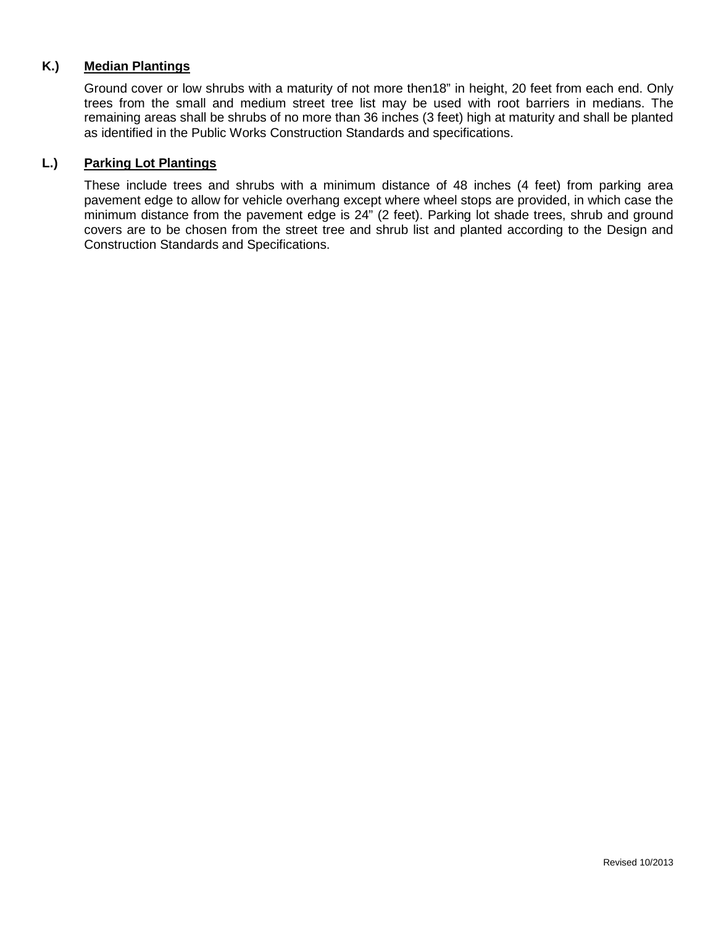## **K.) Median Plantings**

Ground cover or low shrubs with a maturity of not more then18" in height, 20 feet from each end. Only trees from the small and medium street tree list may be used with root barriers in medians. The remaining areas shall be shrubs of no more than 36 inches (3 feet) high at maturity and shall be planted as identified in the Public Works Construction Standards and specifications.

#### **L.) Parking Lot Plantings**

These include trees and shrubs with a minimum distance of 48 inches (4 feet) from parking area pavement edge to allow for vehicle overhang except where wheel stops are provided, in which case the minimum distance from the pavement edge is 24" (2 feet). Parking lot shade trees, shrub and ground covers are to be chosen from the street tree and shrub list and planted according to the Design and Construction Standards and Specifications.